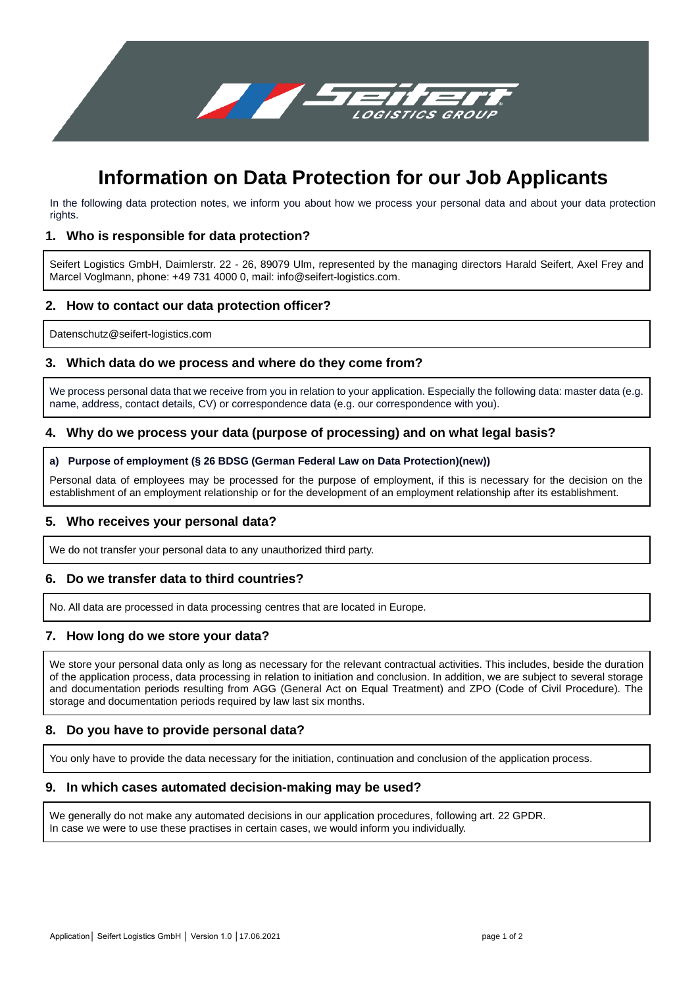

# **Information on Data Protection for our Job Applicants**

In the following data protection notes, we inform you about how we process your personal data and about your data protection rights.

#### **1. Who is responsible for data protection?**

Seifert Logistics GmbH, Daimlerstr. 22 - 26, 89079 Ulm, represented by the managing directors Harald Seifert, Axel Frey and Marcel Voglmann, phone: +49 731 4000 0, mail: info@seifert-logistics.com.

#### **2. How to contact our data protection officer?**

[Datenschutz@seifert-logistics.com](mailto:Datenschutz@seifert-logistics.com)

# **3. Which data do we process and where do they come from?**

We process personal data that we receive from you in relation to your application. Especially the following data: master data (e.g. name, address, contact details, CV) or correspondence data (e.g. our correspondence with you).

## **4. Why do we process your data (purpose of processing) and on what legal basis?**

#### **a) Purpose of employment (§ 26 BDSG (German Federal Law on Data Protection)(new))**

Personal data of employees may be processed for the purpose of employment, if this is necessary for the decision on the establishment of an employment relationship or for the development of an employment relationship after its establishment.

#### **5. Who receives your personal data?**

We do not transfer your personal data to any unauthorized third party.

## **6. Do we transfer data to third countries?**

No. All data are processed in data processing centres that are located in Europe.

## **7. How long do we store your data?**

We store your personal data only as long as necessary for the relevant contractual activities. This includes, beside the duration of the application process, data processing in relation to initiation and conclusion. In addition, we are subject to several storage and documentation periods resulting from AGG (General Act on Equal Treatment) and ZPO (Code of Civil Procedure). The storage and documentation periods required by law last six months.

## **8. Do you have to provide personal data?**

You only have to provide the data necessary for the initiation, continuation and conclusion of the application process.

#### **9. In which cases automated decision-making may be used?**

We generally do not make any automated decisions in our application procedures, following art. 22 GPDR. In case we were to use these practises in certain cases, we would inform you individually.